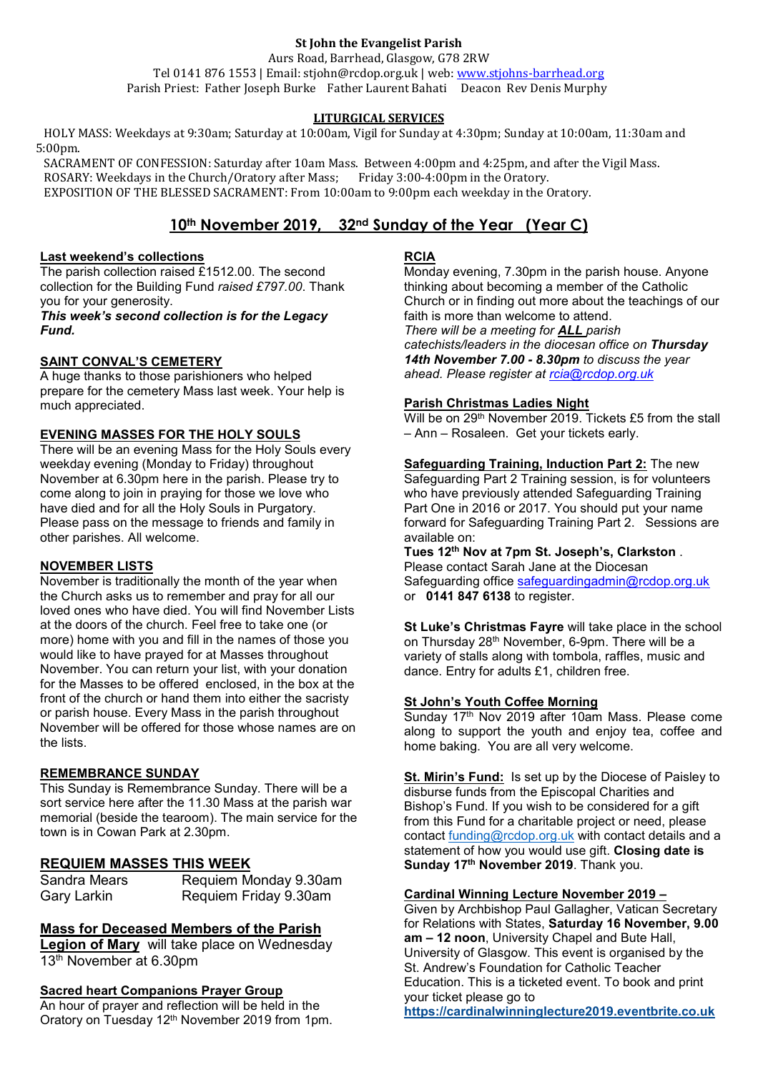## **St John the Evangelist Parish**

Aurs Road, Barrhead, Glasgow, G78 2RW Tel 0141 876 1553 | Email: stjohn@rcdop.org.uk | web: [www.stjohns-barrhead.org](http://www.stjohns-barrhead.org/) Parish Priest: Father Joseph Burke Father Laurent Bahati Deacon Rev Denis Murphy

# **LITURGICAL SERVICES**

 HOLY MASS: Weekdays at 9:30am; Saturday at 10:00am, Vigil for Sunday at 4:30pm; Sunday at 10:00am, 11:30am and 5:00pm.

 SACRAMENT OF CONFESSION: Saturday after 10am Mass. Between 4:00pm and 4:25pm, and after the Vigil Mass. ROSARY: Weekdays in the Church/Oratory after Mass; Friday 3:00-4:00pm in the Oratory. EXPOSITION OF THE BLESSED SACRAMENT: From 10:00am to 9:00pm each weekday in the Oratory.

# **10th November 2019, 32nd Sunday of the Year (Year C)**

### **Last weekend's collections**

The parish collection raised £1512.00. The second collection for the Building Fund *raised £797.00*. Thank you for your generosity.

*This week's second collection is for the Legacy Fund.*

## **SAINT CONVAL'S CEMETERY**

A huge thanks to those parishioners who helped prepare for the cemetery Mass last week. Your help is much appreciated.

## **EVENING MASSES FOR THE HOLY SOULS**

There will be an evening Mass for the Holy Souls every weekday evening (Monday to Friday) throughout November at 6.30pm here in the parish. Please try to come along to join in praying for those we love who have died and for all the Holy Souls in Purgatory. Please pass on the message to friends and family in other parishes. All welcome.

# **NOVEMBER LISTS**

November is traditionally the month of the year when the Church asks us to remember and pray for all our loved ones who have died. You will find November Lists at the doors of the church. Feel free to take one (or more) home with you and fill in the names of those you would like to have prayed for at Masses throughout November. You can return your list, with your donation for the Masses to be offered enclosed, in the box at the front of the church or hand them into either the sacristy or parish house. Every Mass in the parish throughout November will be offered for those whose names are on the lists.

#### **REMEMBRANCE SUNDAY**

This Sunday is Remembrance Sunday. There will be a sort service here after the 11.30 Mass at the parish war memorial (beside the tearoom). The main service for the town is in Cowan Park at 2.30pm.

# **REQUIEM MASSES THIS WEEK**

| Sandra Mears | Requiem Monday 9.30am |
|--------------|-----------------------|
| Gary Larkin  | Requiem Friday 9.30am |

# **Mass for Deceased Members of the Parish**

**Legion of Mary** will take place on Wednesday 13<sup>th</sup> November at 6.30pm

#### **Sacred heart Companions Prayer Group**

An hour of prayer and reflection will be held in the Oratory on Tuesday 12th November 2019 from 1pm.

# **RCIA**

Monday evening, 7.30pm in the parish house. Anyone thinking about becoming a member of the Catholic Church or in finding out more about the teachings of our faith is more than welcome to attend. *There will be a meeting for ALL parish catechists/leaders in the diocesan office on Thursday 14th November 7.00 - 8.30pm to discuss the year ahead. Please register at [rcia@rcdop.org.uk](mailto:rcia@rcdop.org.uk)*

## **Parish Christmas Ladies Night**

Will be on 29<sup>th</sup> November 2019. Tickets £5 from the stall – Ann – Rosaleen. Get your tickets early.

## **Safeguarding Training, Induction Part 2:** The new

Safeguarding Part 2 Training session, is for volunteers who have previously attended Safeguarding Training Part One in 2016 or 2017. You should put your name forward for Safeguarding Training Part 2. Sessions are available on:

**Tues 12th Nov at 7pm St. Joseph's, Clarkston** . Please contact Sarah Jane at the Diocesan Safeguarding office [safeguardingadmin@rcdop.org.uk](mailto:safeguardingadmin@rcdop.org.uk) or **0141 847 6138** to register.

**St Luke's Christmas Fayre** will take place in the school on Thursday 28th November, 6-9pm. There will be a variety of stalls along with tombola, raffles, music and dance. Entry for adults £1, children free.

#### **St John's Youth Coffee Morning**

Sunday 17<sup>th</sup> Nov 2019 after 10am Mass. Please come along to support the youth and enjoy tea, coffee and home baking. You are all very welcome.

**St. Mirin's Fund:** Is set up by the Diocese of Paisley to disburse funds from the Episcopal Charities and Bishop's Fund. If you wish to be considered for a gift from this Fund for a charitable project or need, please contact [funding@rcdop.org.uk](mailto:funding@rcdop.org.uk) with contact details and a statement of how you would use gift. **Closing date is Sunday 17th November 2019**. Thank you.

#### **Cardinal Winning Lecture November 2019 –**

Given by Archbishop Paul Gallagher, Vatican Secretary for Relations with States, **Saturday 16 November, 9.00 am – 12 noon**, University Chapel and Bute Hall, University of Glasgow. This event is organised by the St. Andrew's Foundation for Catholic Teacher Education. This is a ticketed event. To book and print your ticket please go to

**[https://cardinalwinninglecture2019.eventbrite.co.uk](https://cardinalwinninglecture2019.eventbrite.co.uk/)**